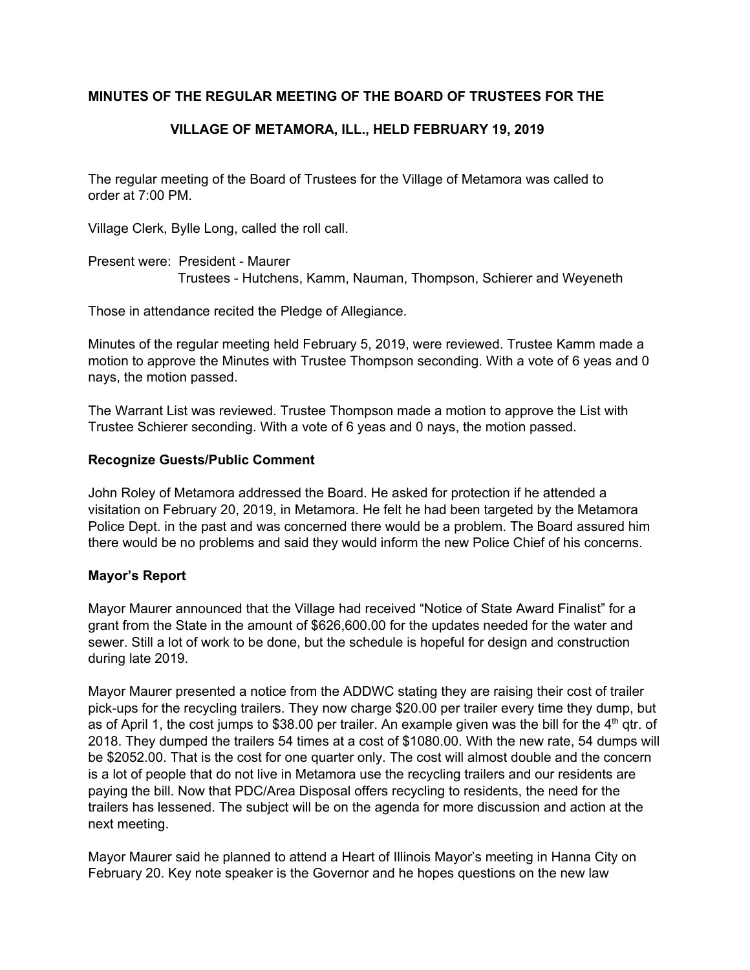# **MINUTES OF THE REGULAR MEETING OF THE BOARD OF TRUSTEES FOR THE**

# **VILLAGE OF METAMORA, ILL., HELD FEBRUARY 19, 2019**

The regular meeting of the Board of Trustees for the Village of Metamora was called to order at 7:00 PM.

Village Clerk, Bylle Long, called the roll call.

Present were: President - Maurer Trustees - Hutchens, Kamm, Nauman, Thompson, Schierer and Weyeneth

Those in attendance recited the Pledge of Allegiance.

Minutes of the regular meeting held February 5, 2019, were reviewed. Trustee Kamm made a motion to approve the Minutes with Trustee Thompson seconding. With a vote of 6 yeas and 0 nays, the motion passed.

The Warrant List was reviewed. Trustee Thompson made a motion to approve the List with Trustee Schierer seconding. With a vote of 6 yeas and 0 nays, the motion passed.

### **Recognize Guests/Public Comment**

John Roley of Metamora addressed the Board. He asked for protection if he attended a visitation on February 20, 2019, in Metamora. He felt he had been targeted by the Metamora Police Dept. in the past and was concerned there would be a problem. The Board assured him there would be no problems and said they would inform the new Police Chief of his concerns.

# **Mayor's Report**

Mayor Maurer announced that the Village had received "Notice of State Award Finalist" for a grant from the State in the amount of \$626,600.00 for the updates needed for the water and sewer. Still a lot of work to be done, but the schedule is hopeful for design and construction during late 2019.

Mayor Maurer presented a notice from the ADDWC stating they are raising their cost of trailer pick-ups for the recycling trailers. They now charge \$20.00 per trailer every time they dump, but as of April 1, the cost jumps to \$38.00 per trailer. An example given was the bill for the 4<sup>th</sup> qtr. of 2018. They dumped the trailers 54 times at a cost of \$1080.00. With the new rate, 54 dumps will be \$2052.00. That is the cost for one quarter only. The cost will almost double and the concern is a lot of people that do not live in Metamora use the recycling trailers and our residents are paying the bill. Now that PDC/Area Disposal offers recycling to residents, the need for the trailers has lessened. The subject will be on the agenda for more discussion and action at the next meeting.

Mayor Maurer said he planned to attend a Heart of Illinois Mayor's meeting in Hanna City on February 20. Key note speaker is the Governor and he hopes questions on the new law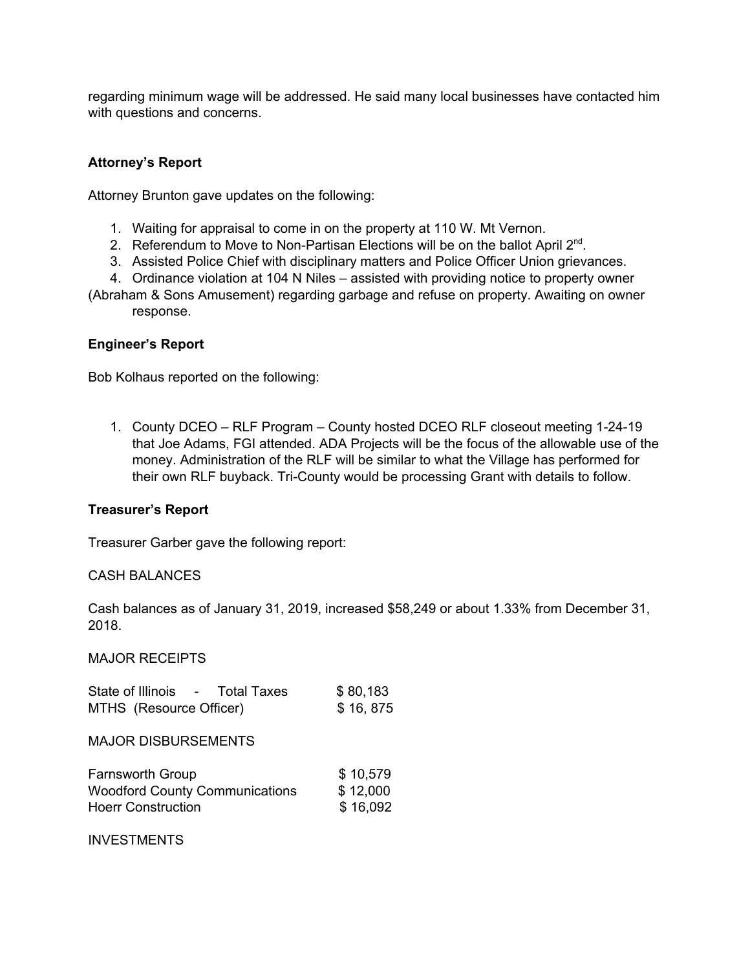regarding minimum wage will be addressed. He said many local businesses have contacted him with questions and concerns.

# **Attorney's Report**

Attorney Brunton gave updates on the following:

- 1. Waiting for appraisal to come in on the property at 110 W. Mt Vernon.
- 2. Referendum to Move to Non-Partisan Elections will be on the ballot April  $2^{nd}$ .
- 3. Assisted Police Chief with disciplinary matters and Police Officer Union grievances.
- 4. Ordinance violation at 104 N Niles assisted with providing notice to property owner
- (Abraham & Sons Amusement) regarding garbage and refuse on property. Awaiting on owner response.

### **Engineer's Report**

Bob Kolhaus reported on the following:

1. County DCEO – RLF Program – County hosted DCEO RLF closeout meeting 1-24-19 that Joe Adams, FGI attended. ADA Projects will be the focus of the allowable use of the money. Administration of the RLF will be similar to what the Village has performed for their own RLF buyback. Tri-County would be processing Grant with details to follow.

### **Treasurer's Report**

Treasurer Garber gave the following report:

### CASH BALANCES

Cash balances as of January 31, 2019, increased \$58,249 or about 1.33% from December 31, 2018.

MAJOR RECEIPTS

| State of Illinois - Total Taxes       | \$80,183 |
|---------------------------------------|----------|
| MTHS (Resource Officer)               | \$16,875 |
| <b>MAJOR DISBURSEMENTS</b>            |          |
| <b>Farnsworth Group</b>               | \$10,579 |
| <b>Woodford County Communications</b> | \$12,000 |
| <b>Hoerr Construction</b>             | \$16,092 |

INVESTMENTS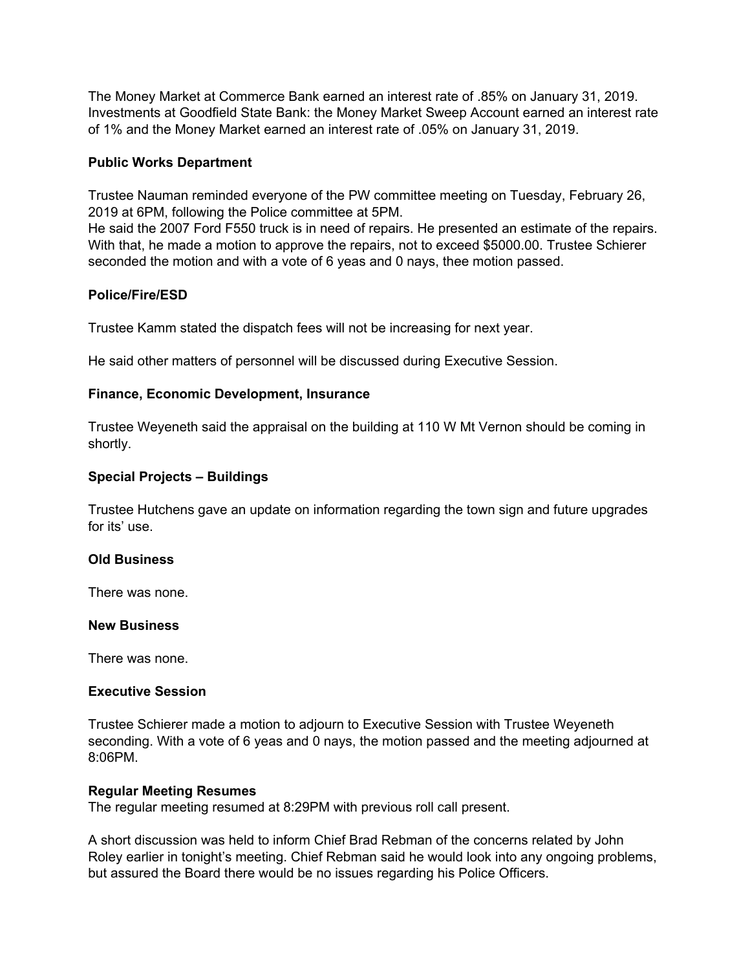The Money Market at Commerce Bank earned an interest rate of .85% on January 31, 2019. Investments at Goodfield State Bank: the Money Market Sweep Account earned an interest rate of 1% and the Money Market earned an interest rate of .05% on January 31, 2019.

# **Public Works Department**

Trustee Nauman reminded everyone of the PW committee meeting on Tuesday, February 26, 2019 at 6PM, following the Police committee at 5PM.

He said the 2007 Ford F550 truck is in need of repairs. He presented an estimate of the repairs. With that, he made a motion to approve the repairs, not to exceed \$5000.00. Trustee Schierer seconded the motion and with a vote of 6 yeas and 0 nays, thee motion passed.

# **Police/Fire/ESD**

Trustee Kamm stated the dispatch fees will not be increasing for next year.

He said other matters of personnel will be discussed during Executive Session.

### **Finance, Economic Development, Insurance**

Trustee Weyeneth said the appraisal on the building at 110 W Mt Vernon should be coming in shortly.

### **Special Projects – Buildings**

Trustee Hutchens gave an update on information regarding the town sign and future upgrades for its' use.

### **Old Business**

There was none.

### **New Business**

There was none.

### **Executive Session**

Trustee Schierer made a motion to adjourn to Executive Session with Trustee Weyeneth seconding. With a vote of 6 yeas and 0 nays, the motion passed and the meeting adjourned at 8:06PM.

### **Regular Meeting Resumes**

The regular meeting resumed at 8:29PM with previous roll call present.

A short discussion was held to inform Chief Brad Rebman of the concerns related by John Roley earlier in tonight's meeting. Chief Rebman said he would look into any ongoing problems, but assured the Board there would be no issues regarding his Police Officers.